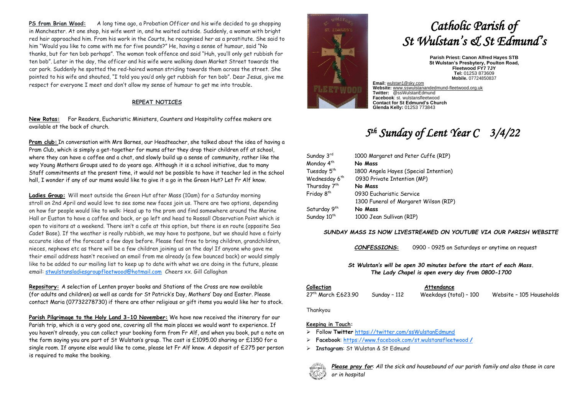**PS from Brian Wood:** A long time ago, a Probation Officer and his wife decided to go shopping in Manchester. At one shop, his wife went in, and he waited outside. Suddenly, a woman with bright red hair approached him. From his work in the Courts, he recognised her as a prostitute. She said to him "Would you like to come with me for five pounds?" He, having a sense of humour, said "No thanks, but for ten bob perhaps". The woman took offence and said "Huh, you'll only get rubbish for ten bob". Later in the day, the officer and his wife were walking down Market Street towards the car park. Suddenly he spotted the red-haired woman striding towards them across the street. She pointed to his wife and shouted, "I told you you'd only get rubbish for ten bob". Dear Jesus, give me respect for everyone I meet and don't allow my sense of humour to get me into trouble.

#### **REPEAT NOTICES**

**New Rotas:** For Readers, Eucharistic Ministers, Counters and Hospitality coffee makers are available at the back of church.

**Pram club:** In conversation with Mrs Barnes, our Headteacher, she talked about the idea of having a Pram Club, which is simply a get-together for mums after they drop their children off at school, where they can have a coffee and a chat, and slowly build up a sense of community, rather like the way Young Mothers Groups used to do years ago. Although it is a school initiative, due to many Staff commitments at the present time, it would not be possible to have it teacher led in the school hall, I wonder if any of our mums would like to give it a go in the Green Hut? Let Fr Alf know.

**Ladies Group:** Will meet outside the Green Hut after Mass (10am) for a Saturday morning stroll on 2nd April and would love to see some new faces join us. There are two options, depending on how far people would like to walk: Head up to the prom and find somewhere around the Marine Hall or Euston to have a coffee and back, or go left and head to Rossall Observation Point which is open to visitors at a weekend. There isn't a cafe at this option, but there is en route (opposite Sea Cadet Base). If the weather is really rubbish, we may have to postpone, but we should have a fairly accurate idea of the forecast a few days before. Please feel free to bring children, grandchildren, nieces, nephews etc as there will be a few children joining us on the day! If anyone who gave me their email address hasn't received an email from me already (a few bounced back) or would simply like to be added to our mailing list to keep up to date with what we are doing in the future, please email: [stwulstansladiesgroupfleetwood@hotmail.com](mailto:stwulstansladiesgroupfleetwood@hotmail.com) Cheers xx. Gill Callaghan

**Repository:** A selection of Lenten prayer books and Stations of the Cross are now available (for adults and children) as well as cards for St Patrick's Day, Mothers' Day and Easter. Please contact Maria (07732278730) if there are other religious or gift items you would like her to stock.

**Parish Pilgrimage to the Holy Land 3-10 November:** We have now received the itinerary for our Parish trip, which is a very good one, covering all the main places we would want to experience. If you haven't already, you can collect your booking form from Fr Alf, and when you book, put a note on the form saying you are part of St Wulstan's group. The cost is £1095.00 sharing or £1350 for a single room. If anyone else would like to come, please let Fr Alf know. A deposit of £275 per person is required to make the booking.



# *Catholic Parish of St Wulstan's & St Edmund's*

**Parish Priest: Canon Alfred Hayes STB St Wulstan's Presbytery, Poulton Road, Fleetwood FY7 7JY Tel:** 01253 873609 **Mobile.** 07724850837

**Email:** [wulstan1@sky.com](mailto:wulstan1@sky.com) **Website:** [www.sswulstanandedmund-fleetwood.org.uk](http://www.sswulstanandedmund-fleetwood.org.uk/) **Twitter:** @ssWulstanEdmund **Facebook**: st. wulstansfleetwood **Contact for St Edmund's Church Glenda Kelly:** 01253 773843

## *5 th Sunday of Lent Year C 3/4/22*

| Sunday 3rd                | 1000 Margaret and Peter Cuffe (RIP)   |  |
|---------------------------|---------------------------------------|--|
| Monday 4 <sup>th</sup>    | No Mass                               |  |
| Tuesday 5th               | 1800 Angela Hayes (Special Intention) |  |
| Wednesday 6 <sup>th</sup> | 0930 Private Intention (MP)           |  |
| Thursday 7th              | No Mass                               |  |
| Friday 8 <sup>th</sup>    | 0930 Eucharistic Service              |  |
|                           | 1300 Funeral of Margaret Wilson (RIP) |  |
| Saturday 9 <sup>th</sup>  | No Mass                               |  |
| Sunday 10 <sup>th</sup>   | 1000 Jean Sullivan (RIP)              |  |

#### *SUNDAY MASS IS NOW LIVESTREAMED ON YOUTUBE VIA OUR PARISH WEBSITE*

*CONFESSIONS***:** 0900 - 0925 on Saturdays or anytime on request

*St Wulstan's will be open 30 minutes before the start of each Mass. The Lady Chapel is open every day from 0800-1700*

**Collection Attendance**

27th March £623.90 Sunday – 112 Weekdays (total) – 100 Website – 105 Households

Thankyou

#### **Keeping in Touch:**

- ➢ Follow **Twitter** <https://twitter.com/ssWulstanEdmund>
- ➢ **Facebook**: https://www.facebook.com/st.wulstansfleetwood **/**
- ➢ **Instagram**: St Wulstan & St Edmund



*Please pray for*: *All the sick and housebound of our parish family and also those in care or in hospital*